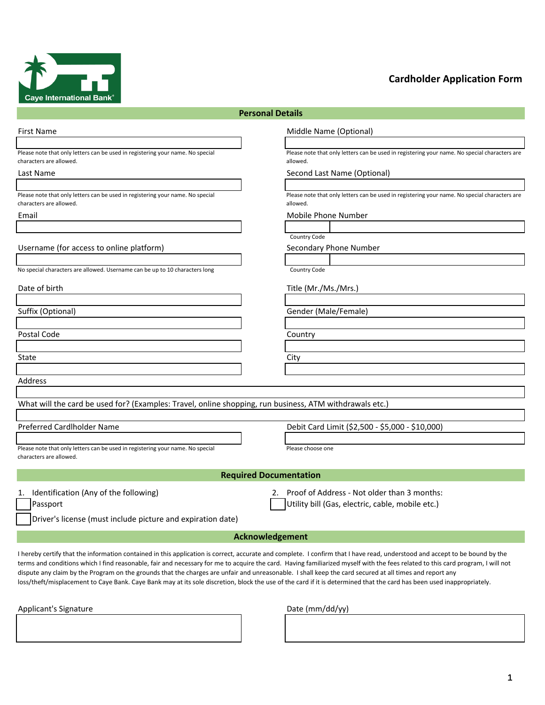

## **Cardholder Application Form**

| <b>Personal Details</b>                                                                                   |                                                                                                           |  |  |  |  |  |  |
|-----------------------------------------------------------------------------------------------------------|-----------------------------------------------------------------------------------------------------------|--|--|--|--|--|--|
| <b>First Name</b>                                                                                         | Middle Name (Optional)                                                                                    |  |  |  |  |  |  |
|                                                                                                           |                                                                                                           |  |  |  |  |  |  |
| Please note that only letters can be used in registering your name. No special<br>characters are allowed. | Please note that only letters can be used in registering your name. No special characters are<br>allowed. |  |  |  |  |  |  |
| Last Name                                                                                                 | Second Last Name (Optional)                                                                               |  |  |  |  |  |  |
|                                                                                                           |                                                                                                           |  |  |  |  |  |  |
| Please note that only letters can be used in registering your name. No special<br>characters are allowed. | Please note that only letters can be used in registering your name. No special characters are<br>allowed. |  |  |  |  |  |  |
| Email                                                                                                     | Mobile Phone Number                                                                                       |  |  |  |  |  |  |
|                                                                                                           |                                                                                                           |  |  |  |  |  |  |
|                                                                                                           | Country Code                                                                                              |  |  |  |  |  |  |
| Username (for access to online platform)                                                                  | Secondary Phone Number                                                                                    |  |  |  |  |  |  |
|                                                                                                           |                                                                                                           |  |  |  |  |  |  |
| No special characters are allowed. Username can be up to 10 characters long                               | Country Code                                                                                              |  |  |  |  |  |  |
| Date of birth                                                                                             | Title (Mr./Ms./Mrs.)                                                                                      |  |  |  |  |  |  |
|                                                                                                           |                                                                                                           |  |  |  |  |  |  |
| Suffix (Optional)                                                                                         | Gender (Male/Female)                                                                                      |  |  |  |  |  |  |
|                                                                                                           |                                                                                                           |  |  |  |  |  |  |
| Postal Code                                                                                               | Country                                                                                                   |  |  |  |  |  |  |
|                                                                                                           |                                                                                                           |  |  |  |  |  |  |
| State                                                                                                     | City                                                                                                      |  |  |  |  |  |  |
|                                                                                                           |                                                                                                           |  |  |  |  |  |  |
| <b>Address</b>                                                                                            |                                                                                                           |  |  |  |  |  |  |
|                                                                                                           |                                                                                                           |  |  |  |  |  |  |
| What will the card be used for? (Examples: Travel, online shopping, run business, ATM withdrawals etc.)   |                                                                                                           |  |  |  |  |  |  |
|                                                                                                           |                                                                                                           |  |  |  |  |  |  |
| Preferred Cardlholder Name                                                                                | Debit Card Limit (\$2,500 - \$5,000 - \$10,000)                                                           |  |  |  |  |  |  |
|                                                                                                           |                                                                                                           |  |  |  |  |  |  |
| Please note that only letters can be used in registering your name. No special                            | Please choose one                                                                                         |  |  |  |  |  |  |
| characters are allowed.                                                                                   |                                                                                                           |  |  |  |  |  |  |
|                                                                                                           |                                                                                                           |  |  |  |  |  |  |
|                                                                                                           | <b>Required Documentation</b>                                                                             |  |  |  |  |  |  |
| 1. Identification (Any of the following)                                                                  | Proof of Address - Not older than 3 months:<br>2.                                                         |  |  |  |  |  |  |
| Passport                                                                                                  | Utility bill (Gas, electric, cable, mobile etc.)                                                          |  |  |  |  |  |  |
|                                                                                                           |                                                                                                           |  |  |  |  |  |  |
| Driver's license (must include picture and expiration date)                                               |                                                                                                           |  |  |  |  |  |  |
|                                                                                                           | Acknowledgement                                                                                           |  |  |  |  |  |  |
|                                                                                                           |                                                                                                           |  |  |  |  |  |  |

I hereby certify that the information contained in this application is correct, accurate and complete. I confirm that I have read, understood and accept to be bound by the terms and conditions which I find reasonable, fair and necessary for me to acquire the card. Having familiarized myself with the fees related to this card program, I will not dispute any claim by the Program on the grounds that the charges are unfair and unreasonable. I shall keep the card secured at all times and report any loss/theft/misplacement to Caye Bank. Caye Bank may at its sole discretion, block the use of the card if it is determined that the card has been used inappropriately.

Applicant's Signature data control of the Date (mm/dd/yy)